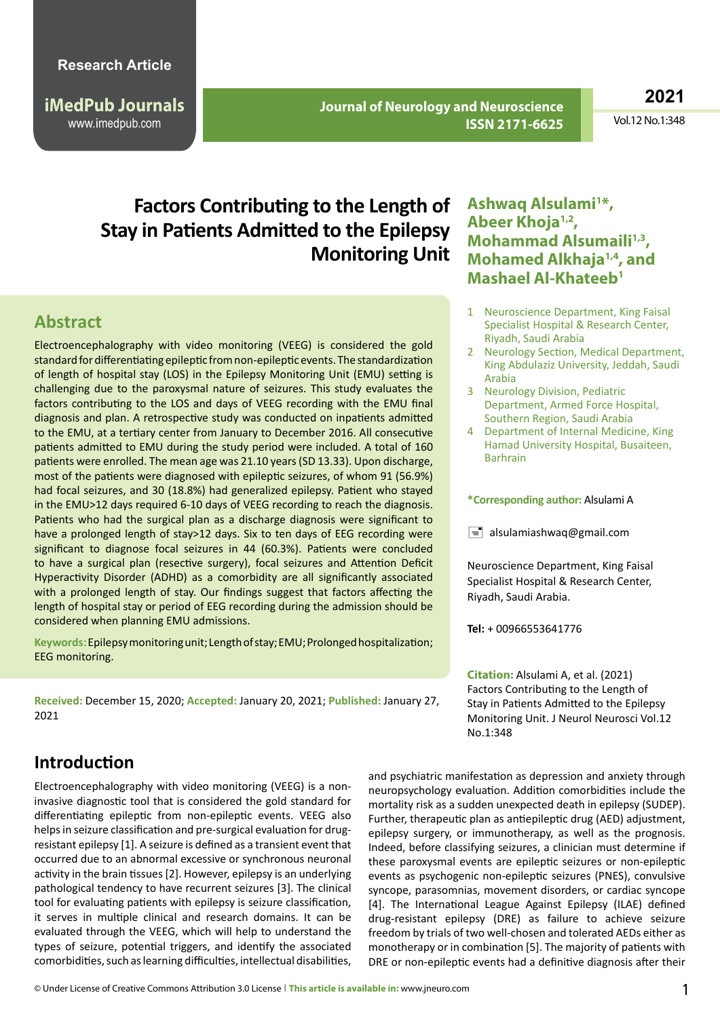**iMedPub Journals** www.imedpub.com

 **Journal of Neurology and Neuroscience ISSN 2171-6625**

**2021**

Vol.12 No.1:348

# **Factors Contributing to the Length of Stay in Patients Admitted to the Epilepsy Monitoring Unit**

### **Abstract**

Electroencephalography with video monitoring (VEEG) is considered the gold standard for differentiating epileptic from non-epileptic events. The standardization of length of hospital stay (LOS) in the Epilepsy Monitoring Unit (EMU) setting is challenging due to the paroxysmal nature of seizures. This study evaluates the factors contributing to the LOS and days of VEEG recording with the EMU final diagnosis and plan. A retrospective study was conducted on inpatients admitted to the EMU, at a tertiary center from January to December 2016. All consecutive patients admitted to EMU during the study period were included. A total of 160 patients were enrolled. The mean age was 21.10 years(SD 13.33). Upon discharge, most of the patients were diagnosed with epileptic seizures, of whom 91 (56.9%) had focal seizures, and 30 (18.8%) had generalized epilepsy. Patient who stayed in the EMU>12 days required 6-10 days of VEEG recording to reach the diagnosis. Patients who had the surgical plan as a discharge diagnosis were significant to have a prolonged length of stay>12 days. Six to ten days of EEG recording were significant to diagnose focal seizures in 44 (60.3%). Patients were concluded to have a surgical plan (resective surgery), focal seizures and Attention Deficit Hyperactivity Disorder (ADHD) as a comorbidity are all significantly associated with a prolonged length of stay. Our findings suggest that factors affecting the length of hospital stay or period of EEG recording during the admission should be considered when planning EMU admissions.

**Keywords:**Epilepsymonitoringunit;Lengthofstay;EMU;Prolongedhospitalization; EEG monitoring.

**Received:** December 15, 2020; **Accepted:** January 20, 2021; **Published:** January 27, 2021

### **Ashwaq Alsulami1 \*, Abeer Khoja1,2, Mohammad Alsumaili1,3, Mohamed Alkhaja1,4, and Mashael Al-Khateeb1**

- 1 Neuroscience Department, King Faisal Specialist Hospital & Research Center, Riyadh, Saudi Arabia
- 2 Neurology Section, Medical Department, King Abdulaziz University, Jeddah, Saudi Arabia
- 3 Neurology Division, Pediatric Department, Armed Force Hospital, Southern Region, Saudi Arabia
- 4 Department of Internal Medicine, King Hamad University Hospital, Busaiteen, Barhrain

#### **\*Corresponding author:** Alsulami A

 $\equiv$  [alsulamiashwaq@gmail.com](mailto:alsulamiashwaq@gmail.com)

Neuroscience Department, King Faisal Specialist Hospital & Research Center, Riyadh, Saudi Arabia.

**Tel:** + 00966553641776

**Citation:** Alsulami A, et al. (2021) Factors Contributing to the Length of Stay in Patients Admitted to the Epilepsy Monitoring Unit. J Neurol Neurosci Vol.12 No.1:348

### **Introduction**

Electroencephalography with video monitoring (VEEG) is a noninvasive diagnostic tool that is considered the gold standard for differentiating epileptic from non-epileptic events. VEEG also helps in seizure classification and pre-surgical evaluation for drugresistant epilepsy [1]. A seizure is defined as a transient event that occurred due to an abnormal excessive or synchronous neuronal activity in the brain tissues[2]. However, epilepsy is an underlying pathological tendency to have recurrent seizures [3]. The clinical tool for evaluating patients with epilepsy is seizure classification, it serves in multiple clinical and research domains. It can be evaluated through the VEEG, which will help to understand the types of seizure, potential triggers, and identify the associated comorbidities, such as learning difficulties, intellectual disabilities,

and psychiatric manifestation as depression and anxiety through neuropsychology evaluation. Addition comorbidities include the mortality risk as a sudden unexpected death in epilepsy (SUDEP). Further, therapeutic plan as antiepileptic drug (AED) adjustment, epilepsy surgery, or immunotherapy, as well as the prognosis. Indeed, before classifying seizures, a clinician must determine if these paroxysmal events are epileptic seizures or non-epileptic events as psychogenic non-epileptic seizures (PNES), convulsive syncope, parasomnias, movement disorders, or cardiac syncope [4]. The International League Against Epilepsy (ILAE) defined drug-resistant epilepsy (DRE) as failure to achieve seizure freedom by trials of two well-chosen and tolerated AEDs either as monotherapy or in combination [5]. The majority of patients with DRE or non-epileptic events had a definitive diagnosis after their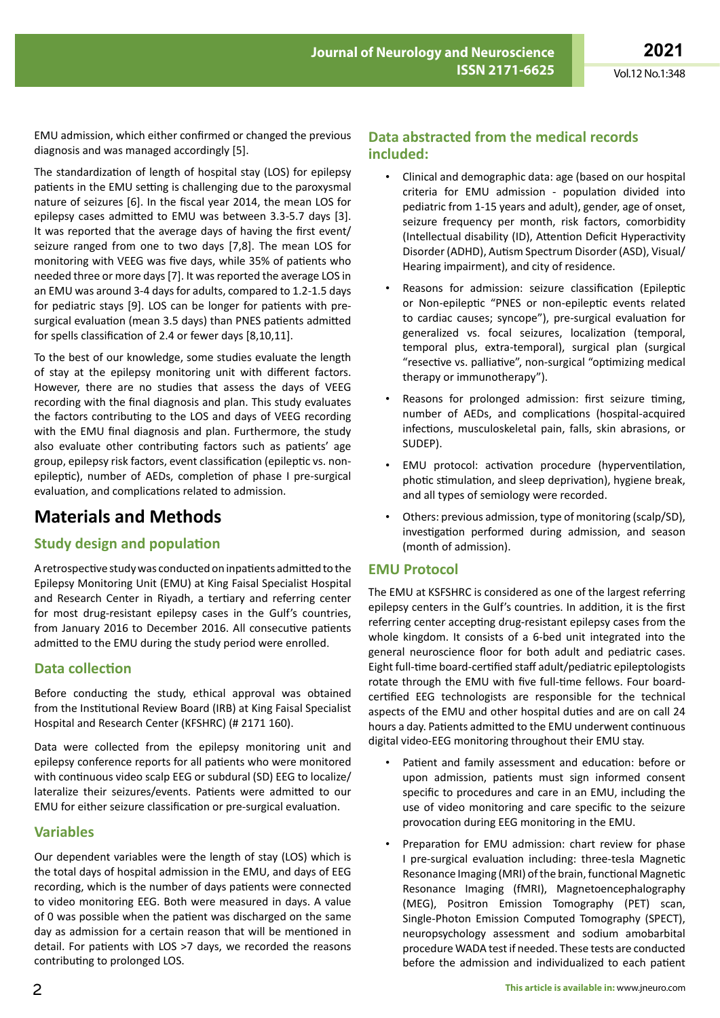**2021** Vol.12 No.1:348

EMU admission, which either confirmed or changed the previous diagnosis and was managed accordingly [5].

The standardization of length of hospital stay (LOS) for epilepsy patients in the EMU setting is challenging due to the paroxysmal nature of seizures [6]. In the fiscal year 2014, the mean LOS for epilepsy cases admitted to EMU was between 3.3-5.7 days [3]. It was reported that the average days of having the first event/ seizure ranged from one to two days [7,8]. The mean LOS for monitoring with VEEG was five days, while 35% of patients who needed three or more days [7]. It was reported the average LOS in an EMU was around 3-4 days for adults, compared to 1.2-1.5 days for pediatric stays [9]. LOS can be longer for patients with presurgical evaluation (mean 3.5 days) than PNES patients admitted for spells classification of 2.4 or fewer days [8,10,11].

To the best of our knowledge, some studies evaluate the length of stay at the epilepsy monitoring unit with different factors. However, there are no studies that assess the days of VEEG recording with the final diagnosis and plan. This study evaluates the factors contributing to the LOS and days of VEEG recording with the EMU final diagnosis and plan. Furthermore, the study also evaluate other contributing factors such as patients' age group, epilepsy risk factors, event classification (epileptic vs. nonepileptic), number of AEDs, completion of phase I pre-surgical evaluation, and complications related to admission.

# **Materials and Methods**

### **Study design and population**

Aretrospective studywas conducted on inpatients admitted to the Epilepsy Monitoring Unit (EMU) at King Faisal Specialist Hospital and Research Center in Riyadh, a tertiary and referring center for most drug-resistant epilepsy cases in the Gulf's countries, from January 2016 to December 2016. All consecutive patients admitted to the EMU during the study period were enrolled.

### **Data collection**

Before conducting the study, ethical approval was obtained from the Institutional Review Board (IRB) at King Faisal Specialist Hospital and Research Center (KFSHRC) (# 2171 160).

Data were collected from the epilepsy monitoring unit and epilepsy conference reports for all patients who were monitored with continuous video scalp EEG or subdural (SD) EEG to localize/ lateralize their seizures/events. Patients were admitted to our EMU for either seizure classification or pre-surgical evaluation.

#### **Variables**

Our dependent variables were the length of stay (LOS) which is the total days of hospital admission in the EMU, and days of EEG recording, which is the number of days patients were connected to video monitoring EEG. Both were measured in days. A value of 0 was possible when the patient was discharged on the same day as admission for a certain reason that will be mentioned in detail. For patients with LOS >7 days, we recorded the reasons contributing to prolonged LOS.

#### **Data abstracted from the medical records included:**

- Clinical and demographic data: age (based on our hospital criteria for EMU admission - population divided into pediatric from 1-15 years and adult), gender, age of onset, seizure frequency per month, risk factors, comorbidity (Intellectual disability (ID), Attention Deficit Hyperactivity Disorder (ADHD), Autism Spectrum Disorder (ASD), Visual/ Hearing impairment), and city of residence.
- Reasons for admission: seizure classification (Epileptic or Non-epileptic "PNES or non-epileptic events related to cardiac causes; syncope"), pre-surgical evaluation for generalized vs. focal seizures, localization (temporal, temporal plus, extra-temporal), surgical plan (surgical "resective vs. palliative", non-surgical "optimizing medical therapy or immunotherapy").
- Reasons for prolonged admission: first seizure timing, number of AEDs, and complications (hospital-acquired infections, musculoskeletal pain, falls, skin abrasions, or SUDEP).
- EMU protocol: activation procedure (hyperventilation, photic stimulation, and sleep deprivation), hygiene break, and all types of semiology were recorded.
- Others: previous admission, type of monitoring (scalp/SD), investigation performed during admission, and season (month of admission).

### **EMU Protocol**

The EMU at KSFSHRC is considered as one of the largest referring epilepsy centers in the Gulf's countries. In addition, it is the first referring center accepting drug-resistant epilepsy cases from the whole kingdom. It consists of a 6-bed unit integrated into the general neuroscience floor for both adult and pediatric cases. Eight full-time board-certified staff adult/pediatric epileptologists rotate through the EMU with five full-time fellows. Four boardcertified EEG technologists are responsible for the technical aspects of the EMU and other hospital duties and are on call 24 hours a day. Patients admitted to the EMU underwent continuous digital video-EEG monitoring throughout their EMU stay.

- Patient and family assessment and education: before or upon admission, patients must sign informed consent specific to procedures and care in an EMU, including the use of video monitoring and care specific to the seizure provocation during EEG monitoring in the EMU.
- Preparation for EMU admission: chart review for phase I pre-surgical evaluation including: three-tesla Magnetic Resonance Imaging (MRI) of the brain, functional Magnetic Resonance Imaging (fMRI), Magnetoencephalography (MEG), Positron Emission Tomography (PET) scan, Single-Photon Emission Computed Tomography (SPECT), neuropsychology assessment and sodium amobarbital procedure WADA testif needed. These tests are conducted before the admission and individualized to each patient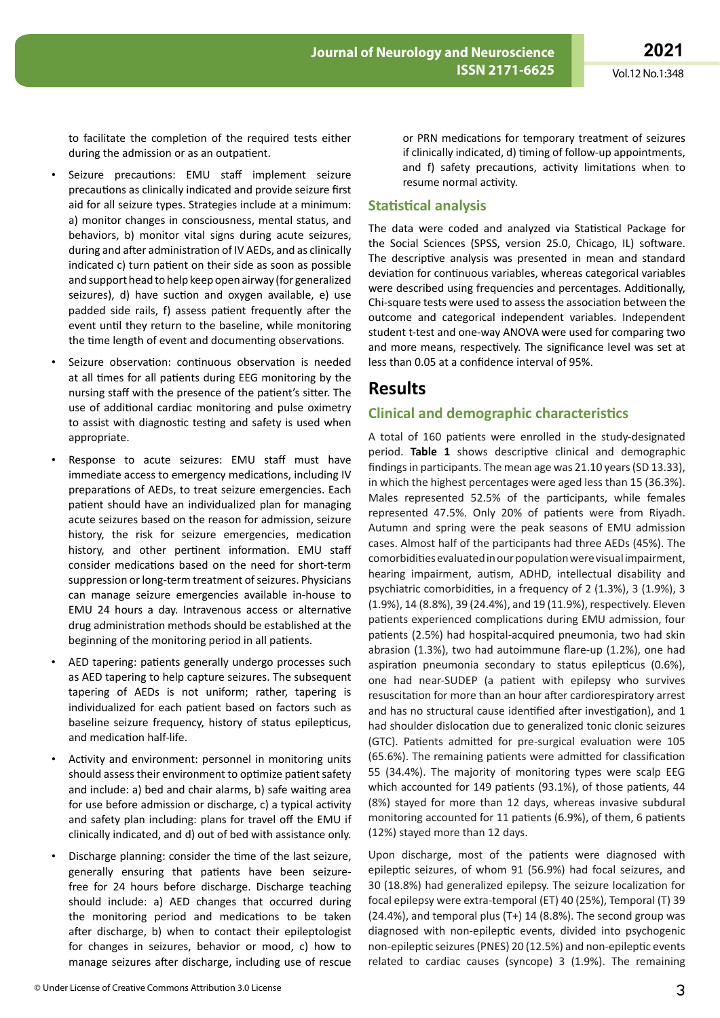to facilitate the completion of the required tests either during the admission or as an outpatient.

- Seizure precautions: EMU staff implement seizure precautions as clinically indicated and provide seizure first aid for all seizure types. Strategies include at a minimum: a) monitor changes in consciousness, mental status, and behaviors, b) monitor vital signs during acute seizures, during and after administration of IV AEDs, and as clinically indicated c) turn patient on their side as soon as possible and support head to help keep open airway (for generalized seizures), d) have suction and oxygen available, e) use padded side rails, f) assess patient frequently after the event until they return to the baseline, while monitoring the time length of event and documenting observations.
- Seizure observation: continuous observation is needed at all times for all patients during EEG monitoring by the nursing staff with the presence of the patient's sitter. The use of additional cardiac monitoring and pulse oximetry to assist with diagnostic testing and safety is used when appropriate.
- Response to acute seizures: EMU staff must have immediate access to emergency medications, including IV preparations of AEDs, to treat seizure emergencies. Each patient should have an individualized plan for managing acute seizures based on the reason for admission, seizure history, the risk for seizure emergencies, medication history, and other pertinent information. EMU staff consider medications based on the need for short-term suppression or long-term treatment of seizures. Physicians can manage seizure emergencies available in-house to EMU 24 hours a day. Intravenous access or alternative drug administration methods should be established at the beginning of the monitoring period in all patients.
- AED tapering: patients generally undergo processes such as AED tapering to help capture seizures. The subsequent tapering of AEDs is not uniform; rather, tapering is individualized for each patient based on factors such as baseline seizure frequency, history of status epilepticus, and medication half-life.
- Activity and environment: personnel in monitoring units should assess their environment to optimize patient safety and include: a) bed and chair alarms, b) safe waiting area for use before admission or discharge, c) a typical activity and safety plan including: plans for travel off the EMU if clinically indicated, and d) out of bed with assistance only.
- Discharge planning: consider the time of the last seizure, generally ensuring that patients have been seizurefree for 24 hours before discharge. Discharge teaching should include: a) AED changes that occurred during the monitoring period and medications to be taken after discharge, b) when to contact their epileptologist for changes in seizures, behavior or mood, c) how to manage seizures after discharge, including use of rescue

or PRN medications for temporary treatment of seizures if clinically indicated, d) timing of follow-up appointments, and f) safety precautions, activity limitations when to resume normal activity.

#### **Statistical analysis**

The data were coded and analyzed via Statistical Package for the Social Sciences (SPSS, version 25.0, Chicago, IL) software. The descriptive analysis was presented in mean and standard deviation for continuous variables, whereas categorical variables were described using frequencies and percentages. Additionally, Chi-square tests were used to assess the association between the outcome and categorical independent variables. Independent student t-test and one-way ANOVA were used for comparing two and more means, respectively. The significance level was set at less than 0.05 at a confidence interval of 95%.

### **Results**

### **Clinical and demographic characteristics**

A total of 160 patients were enrolled in the study-designated period. **Table 1** shows descriptive clinical and demographic findings in participants. The mean age was 21.10 years (SD 13.33), in which the highest percentages were aged less than 15 (36.3%). Males represented 52.5% of the participants, while females represented 47.5%. Only 20% of patients were from Riyadh. Autumn and spring were the peak seasons of EMU admission cases. Almost half of the participants had three AEDs (45%). The comorbiditiesevaluatedinourpopulationwerevisualimpairment, hearing impairment, autism, ADHD, intellectual disability and psychiatric comorbidities, in a frequency of 2 (1.3%), 3 (1.9%), 3 (1.9%), 14 (8.8%), 39 (24.4%), and 19 (11.9%), respectively. Eleven patients experienced complications during EMU admission, four patients (2.5%) had hospital-acquired pneumonia, two had skin abrasion (1.3%), two had autoimmune flare-up (1.2%), one had aspiration pneumonia secondary to status epilepticus (0.6%), one had near-SUDEP (a patient with epilepsy who survives resuscitation for more than an hour after cardiorespiratory arrest and has no structural cause identified after investigation), and 1 had shoulder dislocation due to generalized tonic clonic seizures (GTC). Patients admitted for pre-surgical evaluation were 105 (65.6%). The remaining patients were admitted for classification 55 (34.4%). The majority of monitoring types were scalp EEG which accounted for 149 patients (93.1%), of those patients, 44 (8%) stayed for more than 12 days, whereas invasive subdural monitoring accounted for 11 patients (6.9%), of them, 6 patients (12%) stayed more than 12 days.

Upon discharge, most of the patients were diagnosed with epileptic seizures, of whom 91 (56.9%) had focal seizures, and 30 (18.8%) had generalized epilepsy. The seizure localization for focal epilepsy were extra-temporal (ET) 40 (25%), Temporal (T) 39 (24.4%), and temporal plus (T+) 14 (8.8%). The second group was diagnosed with non-epileptic events, divided into psychogenic non-epileptic seizures(PNES) 20 (12.5%) and non-epileptic events related to cardiac causes (syncope) 3 (1.9%). The remaining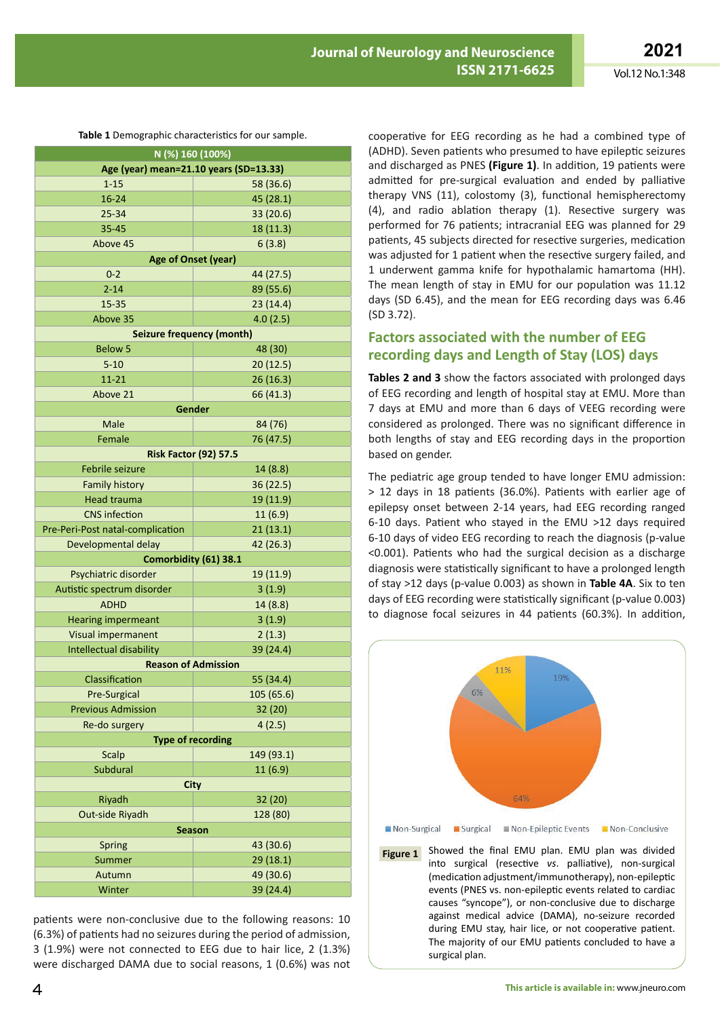| Table 1 Demographic characteristics for our sample. |            |  |  |  |  |  |  |  |
|-----------------------------------------------------|------------|--|--|--|--|--|--|--|
| N (%) 160 (100%)                                    |            |  |  |  |  |  |  |  |
| Age (year) mean=21.10 years (SD=13.33)              |            |  |  |  |  |  |  |  |
| $1 - 15$                                            | 58 (36.6)  |  |  |  |  |  |  |  |
| 16-24                                               | 45 (28.1)  |  |  |  |  |  |  |  |
| $25 - 34$                                           | 33 (20.6)  |  |  |  |  |  |  |  |
| 35-45                                               | 18 (11.3)  |  |  |  |  |  |  |  |
| Above 45                                            | 6(3.8)     |  |  |  |  |  |  |  |
| Age of Onset (year)                                 |            |  |  |  |  |  |  |  |
| $0 - 2$                                             | 44 (27.5)  |  |  |  |  |  |  |  |
| $2 - 14$                                            | 89 (55.6)  |  |  |  |  |  |  |  |
| 15-35                                               | 23(14.4)   |  |  |  |  |  |  |  |
| Above 35                                            | 4.0(2.5)   |  |  |  |  |  |  |  |
| <b>Seizure frequency (month)</b>                    |            |  |  |  |  |  |  |  |
| <b>Below 5</b>                                      | 48 (30)    |  |  |  |  |  |  |  |
| $5 - 10$                                            | 20(12.5)   |  |  |  |  |  |  |  |
| 11-21                                               | 26(16.3)   |  |  |  |  |  |  |  |
| Above 21                                            | 66 (41.3)  |  |  |  |  |  |  |  |
| Gender                                              |            |  |  |  |  |  |  |  |
| Male                                                | 84 (76)    |  |  |  |  |  |  |  |
| Female                                              | 76 (47.5)  |  |  |  |  |  |  |  |
| <b>Risk Factor (92) 57.5</b>                        |            |  |  |  |  |  |  |  |
| <b>Febrile seizure</b>                              | 14 (8.8)   |  |  |  |  |  |  |  |
| <b>Family history</b>                               | 36(22.5)   |  |  |  |  |  |  |  |
| Head trauma                                         | 19 (11.9)  |  |  |  |  |  |  |  |
| <b>CNS</b> infection                                | 11(6.9)    |  |  |  |  |  |  |  |
| Pre-Peri-Post natal-complication                    | 21(13.1)   |  |  |  |  |  |  |  |
| Developmental delay                                 | 42 (26.3)  |  |  |  |  |  |  |  |
| Comorbidity (61) 38.1                               |            |  |  |  |  |  |  |  |
| Psychiatric disorder                                | 19 (11.9)  |  |  |  |  |  |  |  |
| Autistic spectrum disorder                          | 3(1.9)     |  |  |  |  |  |  |  |
| <b>ADHD</b>                                         | 14 (8.8)   |  |  |  |  |  |  |  |
| <b>Hearing impermeant</b>                           | 3(1.9)     |  |  |  |  |  |  |  |
| Visual impermanent                                  | 2(1.3)     |  |  |  |  |  |  |  |
| Intellectual disability                             | 39 (24.4)  |  |  |  |  |  |  |  |
| <b>Reason of Admission</b>                          |            |  |  |  |  |  |  |  |
| Classification                                      | 55 (34.4)  |  |  |  |  |  |  |  |
| <b>Pre-Surgical</b>                                 | 105 (65.6) |  |  |  |  |  |  |  |
| <b>Previous Admission</b>                           | 32 (20)    |  |  |  |  |  |  |  |
| Re-do surgery                                       | 4(2.5)     |  |  |  |  |  |  |  |
| <b>Type of recording</b>                            |            |  |  |  |  |  |  |  |
| Scalp                                               | 149 (93.1) |  |  |  |  |  |  |  |
| Subdural                                            | 11 (6.9)   |  |  |  |  |  |  |  |
| <b>City</b>                                         |            |  |  |  |  |  |  |  |
| Riyadh                                              | 32 (20)    |  |  |  |  |  |  |  |
| Out-side Riyadh                                     | 128 (80)   |  |  |  |  |  |  |  |
| <b>Season</b>                                       |            |  |  |  |  |  |  |  |
| Spring                                              | 43 (30.6)  |  |  |  |  |  |  |  |
| Summer                                              | 29 (18.1)  |  |  |  |  |  |  |  |
| Autumn                                              | 49 (30.6)  |  |  |  |  |  |  |  |
| Winter                                              | 39 (24.4)  |  |  |  |  |  |  |  |

patients were non-conclusive due to the following reasons: 10 (6.3%) of patients had no seizures during the period of admission, 3 (1.9%) were not connected to EEG due to hair lice, 2 (1.3%) were discharged DAMA due to social reasons, 1 (0.6%) was not cooperative for EEG recording as he had a combined type of (ADHD). Seven patients who presumed to have epileptic seizures and discharged as PNES **(Figure 1)**. In addition, 19 patients were admitted for pre-surgical evaluation and ended by palliative therapy VNS (11), colostomy (3), functional hemispherectomy (4), and radio ablation therapy (1). Resective surgery was performed for 76 patients; intracranial EEG was planned for 29 patients, 45 subjects directed for resective surgeries, medication was adjusted for 1 patient when the resective surgery failed, and 1 underwent gamma knife for hypothalamic hamartoma (HH). The mean length of stay in EMU for our population was 11.12 days (SD 6.45), and the mean for EEG recording days was 6.46 (SD 3.72).

#### **Factors associated with the number of EEG recording days and Length of Stay (LOS) days**

**Tables 2 and 3** show the factors associated with prolonged days of EEG recording and length of hospital stay at EMU. More than 7 days at EMU and more than 6 days of VEEG recording were considered as prolonged. There was no significant difference in both lengths of stay and EEG recording days in the proportion based on gender.

The pediatric age group tended to have longer EMU admission: > 12 days in 18 patients (36.0%). Patients with earlier age of epilepsy onset between 2-14 years, had EEG recording ranged 6-10 days. Patient who stayed in the EMU >12 days required 6-10 days of video EEG recording to reach the diagnosis (p-value <0.001). Patients who had the surgical decision as a discharge diagnosis were statistically significant to have a prolonged length of stay >12 days (p-value 0.003) as shown in **Table 4A**. Six to ten days of EEG recording were statistically significant (p-value 0.003) to diagnose focal seizures in 44 patients (60.3%). In addition,



(medication adjustment/immunotherapy), non-epileptic events (PNES vs. non-epileptic events related to cardiac causes "syncope"), or non-conclusive due to discharge against medical advice (DAMA), no-seizure recorded during EMU stay, hair lice, or not cooperative patient. The majority of our EMU patients concluded to have a surgical plan.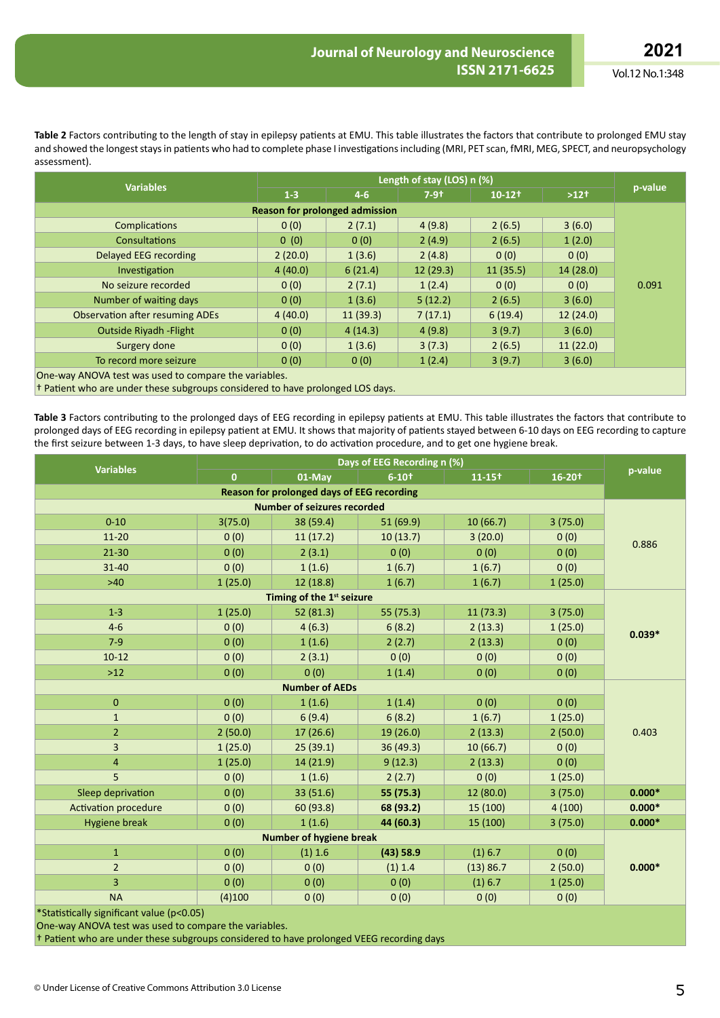Vol.12 No.1:348

**Table 2** Factors contributing to the length of stay in epilepsy patients at EMU. This table illustrates the factors that contribute to prolonged EMU stay and showed the longest stays in patients who had to complete phase I investigations including (MRI, PET scan, fMRI, MEG, SPECT, and neuropsychology assessment).

| <b>Variables</b>                                                               |         |          |          |                      |           |         |  |  |
|--------------------------------------------------------------------------------|---------|----------|----------|----------------------|-----------|---------|--|--|
|                                                                                | $1 - 3$ | $4-6$    | $7-9+$   | $10-12$ <sup>+</sup> | $>12^{+}$ | p-value |  |  |
| <b>Reason for prolonged admission</b>                                          |         |          |          |                      |           |         |  |  |
| <b>Complications</b>                                                           | 0(0)    | 2(7.1)   | 4(9.8)   | 2(6.5)               | 3(6.0)    |         |  |  |
| <b>Consultations</b>                                                           | 0(0)    | 0(0)     | 2(4.9)   | 2(6.5)               | 1(2.0)    |         |  |  |
| Delayed EEG recording                                                          | 2(20.0) | 1(3.6)   | 2(4.8)   | 0(0)                 | 0(0)      |         |  |  |
| Investigation                                                                  | 4(40.0) | 6(21.4)  | 12(29.3) | 11(35.5)             | 14(28.0)  |         |  |  |
| No seizure recorded                                                            | 0(0)    | 2(7.1)   | 1(2.4)   | 0(0)                 | 0(0)      | 0.091   |  |  |
| Number of waiting days                                                         | 0(0)    | 1(3.6)   | 5(12.2)  | 2(6.5)               | 3(6.0)    |         |  |  |
| <b>Observation after resuming ADEs</b>                                         | 4(40.0) | 11(39.3) | 7(17.1)  | 6(19.4)              | 12(24.0)  |         |  |  |
| <b>Outside Rivadh - Flight</b>                                                 | 0(0)    | 4(14.3)  | 4(9.8)   | 3(9.7)               | 3(6.0)    |         |  |  |
| Surgery done                                                                   | 0(0)    | 1(3.6)   | 3(7.3)   | 2(6.5)               | 11(22.0)  |         |  |  |
| To record more seizure                                                         | 0(0)    | 0(0)     | 1(2.4)   | 3(9.7)               | 3(6.0)    |         |  |  |
| One-way ANOVA test was used to compare the variables.                          |         |          |          |                      |           |         |  |  |
| + Patient who are under these subgroups considered to have prolonged LOS days. |         |          |          |                      |           |         |  |  |

**Table 3** Factors contributing to the prolonged days of EEG recording in epilepsy patients at EMU. This table illustrates the factors that contribute to prolonged days of EEG recording in epilepsy patient at EMU. It shows that majority of patients stayed between 6-10 days on EEG recording to capture the first seizure between 1-3 days, to have sleep deprivation, to do activation procedure, and to get one hygiene break.

| <b>Variables</b>                           |              |           |              |           |                        |          |  |  |  |
|--------------------------------------------|--------------|-----------|--------------|-----------|------------------------|----------|--|--|--|
|                                            | $\mathbf{0}$ | 01-May    | $6 - 10^{+}$ | $11 - 15$ | $16 - 20$ <sup>+</sup> | p-value  |  |  |  |
| Reason for prolonged days of EEG recording |              |           |              |           |                        |          |  |  |  |
| <b>Number of seizures recorded</b>         |              |           |              |           |                        |          |  |  |  |
| $0 - 10$                                   | 3(75.0)      | 38 (59.4) | 51 (69.9)    | 10(66.7)  | 3(75.0)                |          |  |  |  |
| $11 - 20$                                  | 0(0)         | 11(17.2)  | 10(13.7)     | 3(20.0)   | 0(0)                   | 0.886    |  |  |  |
| $21 - 30$                                  | 0(0)         | 2(3.1)    | 0(0)         | 0(0)      | 0(0)                   |          |  |  |  |
| $31 - 40$                                  | 0(0)         | 1(1.6)    | 1(6.7)       | 1(6.7)    | 0(0)                   |          |  |  |  |
| $>40$                                      | 1(25.0)      | 12 (18.8) | 1(6.7)       | 1(6.7)    | 1(25.0)                |          |  |  |  |
| Timing of the 1st seizure                  |              |           |              |           |                        |          |  |  |  |
| $1 - 3$                                    | 1(25.0)      | 52 (81.3) | 55 (75.3)    | 11(73.3)  | 3(75.0)                |          |  |  |  |
| $4 - 6$                                    | 0(0)         | 4(6.3)    | 6(8.2)       | 2(13.3)   | 1(25.0)                | $0.039*$ |  |  |  |
| $7-9$                                      | 0(0)         | 1(1.6)    | 2(2.7)       | 2(13.3)   | 0(0)                   |          |  |  |  |
| $10-12$                                    | 0(0)         | 2(3.1)    | 0(0)         | 0(0)      | 0(0)                   |          |  |  |  |
| $>12$                                      | 0(0)         | 0(0)      | 1(1.4)       | 0(0)      | 0(0)                   |          |  |  |  |
| <b>Number of AEDs</b>                      |              |           |              |           |                        |          |  |  |  |
| $\pmb{0}$                                  | 0(0)         | 1(1.6)    | 1(1.4)       | 0(0)      | 0(0)                   |          |  |  |  |
| $\mathbf{1}$                               | 0(0)         | 6(9.4)    | 6(8.2)       | 1(6.7)    | 1(25.0)                |          |  |  |  |
| $\overline{2}$                             | 2(50.0)      | 17(26.6)  | 19 (26.0)    | 2(13.3)   | 2(50.0)                | 0.403    |  |  |  |
| $\overline{3}$                             | 1(25.0)      | 25(39.1)  | 36 (49.3)    | 10(66.7)  | 0(0)                   |          |  |  |  |
| $\overline{\mathbf{4}}$                    | 1(25.0)      | 14(21.9)  | 9(12.3)      | 2(13.3)   | 0(0)                   |          |  |  |  |
| 5                                          | 0(0)         | 1(1.6)    | 2(2.7)       | 0(0)      | 1(25.0)                |          |  |  |  |
| Sleep deprivation                          | 0(0)         | 33 (51.6) | 55 (75.3)    | 12(80.0)  | 3(75.0)                | $0.000*$ |  |  |  |
| <b>Activation procedure</b>                | 0(0)         | 60 (93.8) | 68 (93.2)    | 15 (100)  | 4(100)                 | $0.000*$ |  |  |  |
| <b>Hygiene break</b>                       | 0(0)         | 1(1.6)    | 44 (60.3)    | 15 (100)  | 3(75.0)                | $0.000*$ |  |  |  |
| <b>Number of hygiene break</b>             |              |           |              |           |                        |          |  |  |  |
| $\mathbf{1}$                               | 0(0)         | (1) 1.6   | (43) 58.9    | (1) 6.7   | 0(0)                   |          |  |  |  |
| $\overline{2}$                             | 0(0)         | 0(0)      | (1) 1.4      | (13) 86.7 | 2(50.0)                | $0.000*$ |  |  |  |
| 3                                          | 0(0)         | 0(0)      | 0(0)         | (1) 6.7   | 1(25.0)                |          |  |  |  |
| <b>NA</b>                                  | (4)100       | 0(0)      | 0(0)         | 0(0)      | 0(0)                   |          |  |  |  |
| *Statistically significant value (p<0.05)  |              |           |              |           |                        |          |  |  |  |

One-way ANOVA test was used to compare the variables.

† Patient who are under these subgroups considered to have prolonged VEEG recording days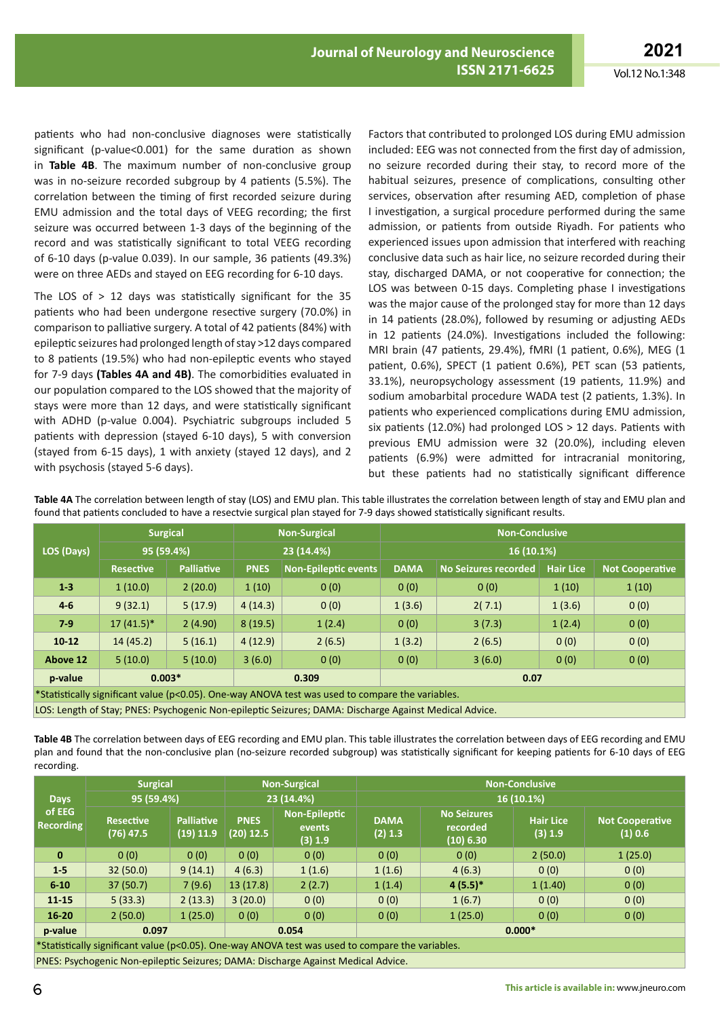patients who had non-conclusive diagnoses were statistically significant (p-value<0.001) for the same duration as shown in **Table 4B**. The maximum number of non-conclusive group was in no-seizure recorded subgroup by 4 patients (5.5%). The correlation between the timing of first recorded seizure during EMU admission and the total days of VEEG recording; the first seizure was occurred between 1-3 days of the beginning of the record and was statistically significant to total VEEG recording of 6-10 days (p-value 0.039). In our sample, 36 patients (49.3%) were on three AEDs and stayed on EEG recording for 6-10 days.

The LOS of  $> 12$  days was statistically significant for the 35 patients who had been undergone resective surgery (70.0%) in comparison to palliative surgery. A total of 42 patients (84%) with epileptic seizures had prolonged length of stay >12 days compared to 8 patients (19.5%) who had non-epileptic events who stayed for 7-9 days **(Tables 4A and 4B)**. The comorbidities evaluated in our population compared to the LOS showed that the majority of stays were more than 12 days, and were statistically significant with ADHD (p-value 0.004). Psychiatric subgroups included 5 patients with depression (stayed 6-10 days), 5 with conversion (stayed from 6-15 days), 1 with anxiety (stayed 12 days), and 2 with psychosis (stayed 5-6 days).

Factors that contributed to prolonged LOS during EMU admission included: EEG was not connected from the first day of admission, no seizure recorded during their stay, to record more of the habitual seizures, presence of complications, consulting other services, observation after resuming AED, completion of phase I investigation, a surgical procedure performed during the same admission, or patients from outside Riyadh. For patients who experienced issues upon admission that interfered with reaching conclusive data such as hair lice, no seizure recorded during their stay, discharged DAMA, or not cooperative for connection; the LOS was between 0-15 days. Completing phase I investigations was the major cause of the prolonged stay for more than 12 days in 14 patients (28.0%), followed by resuming or adjusting AEDs in 12 patients (24.0%). Investigations included the following: MRI brain (47 patients, 29.4%), fMRI (1 patient, 0.6%), MEG (1 patient, 0.6%), SPECT (1 patient 0.6%), PET scan (53 patients, 33.1%), neuropsychology assessment (19 patients, 11.9%) and sodium amobarbital procedure WADA test (2 patients, 1.3%). In patients who experienced complications during EMU admission, six patients (12.0%) had prolonged LOS > 12 days. Patients with previous EMU admission were 32 (20.0%), including eleven patients (6.9%) were admitted for intracranial monitoring, but these patients had no statistically significant difference

**LOS (Days) Surgical Non-Surgical Non-Conclusive 95 (59.4%) 23 (14.4%) 16 (10.1%) Resective Palliative PNES Non-Epileptic events DAMA No Seizures recorded Hair Lice Not Cooperative 1-3** 1 (10.0) 2 (20.0) 1 (10) 0 (0) 0 (0) 0 (0) 0 (0) 1 (10) 1 (10) **4-6** 9 (32.1) 5 (17.9) 4 (14.3) 0 (0) 1 (3.6) 2( 7.1) 1 (3.6) 0 (0) **7-9** 17 (41.5)\* 2 (4.90) 8 (19.5) 1 (2.4) 0 (0) 3 (7.3) 1 (2.4) 0 (0) **10-12** 14 (45.2) 5 (16.1) 4 (12.9) 2 (6.5) 1 (3.2) 2 (6.5) 0 (0) 0 (0) **Above 12**  $\begin{array}{|c|c|c|c|c|c|} \hline \textbf{5} & \textbf{5} & \textbf{10.0} & \textbf{3} & \textbf{6.0} & \textbf{0} & \textbf{0} & \textbf{0} & \textbf{0} & \textbf{0} & \textbf{0} & \textbf{0} & \textbf{0} & \textbf{0} & \textbf{0} & \textbf{0} & \textbf{0} & \textbf{0} & \textbf{0} & \textbf{0} & \textbf{0} & \textbf{0} & \textbf{0} & \textbf{0} & \textbf{0} & \textbf{0} & \$ **p-value 0.003\* 0.309 0.07** \*Statistically significant value (p<0.05). One-way ANOVA test was used to compare the variables.

found that patients concluded to have a resectvie surgical plan stayed for 7-9 days showed statistically significant results.

**Table 4A** The correlation between length of stay (LOS) and EMU plan. This table illustrates the correlation between length of stay and EMU plan and

**Table 4B** The correlation between days of EEG recording and EMU plan. This table illustrates the correlation between days of EEG recording and EMU plan and found that the non-conclusive plan (no-seizure recorded subgroup) was statistically significant for keeping patients for 6-10 days of EEG recording.

LOS: Length of Stay; PNES: Psychogenic Non-epileptic Seizures; DAMA: Discharge Against Medical Advice.

|                                                                                                  | <b>Surgical</b>                 |                                | <b>Non-Surgical</b>        |                                           | <b>Non-Conclusive</b>  |                                             |                             |                                   |  |
|--------------------------------------------------------------------------------------------------|---------------------------------|--------------------------------|----------------------------|-------------------------------------------|------------------------|---------------------------------------------|-----------------------------|-----------------------------------|--|
| <b>Days</b><br>of EEG<br><b>Recording</b>                                                        | 95 (59.4%)                      |                                | 23 (14.4%)                 |                                           | 16 (10.1%)             |                                             |                             |                                   |  |
|                                                                                                  | <b>Resective</b><br>$(76)$ 47.5 | <b>Palliative</b><br>(19) 11.9 | <b>PNES</b><br>$(20)$ 12.5 | <b>Non-Epileptic</b><br>events<br>(3) 1.9 | <b>DAMA</b><br>(2) 1.3 | <b>No Seizures</b><br>recorded<br>(10) 6.30 | <b>Hair Lice</b><br>(3) 1.9 | <b>Not Cooperative</b><br>(1) 0.6 |  |
| $\mathbf{0}$                                                                                     | 0(0)                            | 0(0)                           | 0(0)                       | 0(0)                                      | 0(0)                   | 0(0)                                        | 2(50.0)                     | 1(25.0)                           |  |
| $1 - 5$                                                                                          | 32(50.0)                        | 9(14.1)                        | 4(6.3)                     | 1(1.6)                                    | 1(1.6)                 | 4(6.3)                                      | 0(0)                        | 0(0)                              |  |
| $6 - 10$                                                                                         | 37(50.7)                        | 7(9.6)                         | 13(17.8)                   | 2(2.7)                                    | 1(1.4)                 | $4(5.5)*$                                   | 1(1.40)                     | 0(0)                              |  |
| $11 - 15$                                                                                        | 5(33.3)                         | 2(13.3)                        | 3(20.0)                    | 0(0)                                      | 0(0)                   | 1(6.7)                                      | 0(0)                        | 0(0)                              |  |
| $16 - 20$                                                                                        | 2(50.0)                         | 1(25.0)                        | 0(0)                       | 0(0)                                      | 0(0)                   | 1(25.0)                                     | 0(0)                        | 0(0)                              |  |
| p-value                                                                                          | 0.097                           |                                |                            | 0.054                                     |                        | $0.000*$                                    |                             |                                   |  |
| *Statistically significant value (p<0.05). One-way ANOVA test was used to compare the variables. |                                 |                                |                            |                                           |                        |                                             |                             |                                   |  |
|                                                                                                  |                                 |                                |                            |                                           |                        |                                             |                             |                                   |  |

PNES: Psychogenic Non-epileptic Seizures; DAMA: Discharge Against Medical Advice.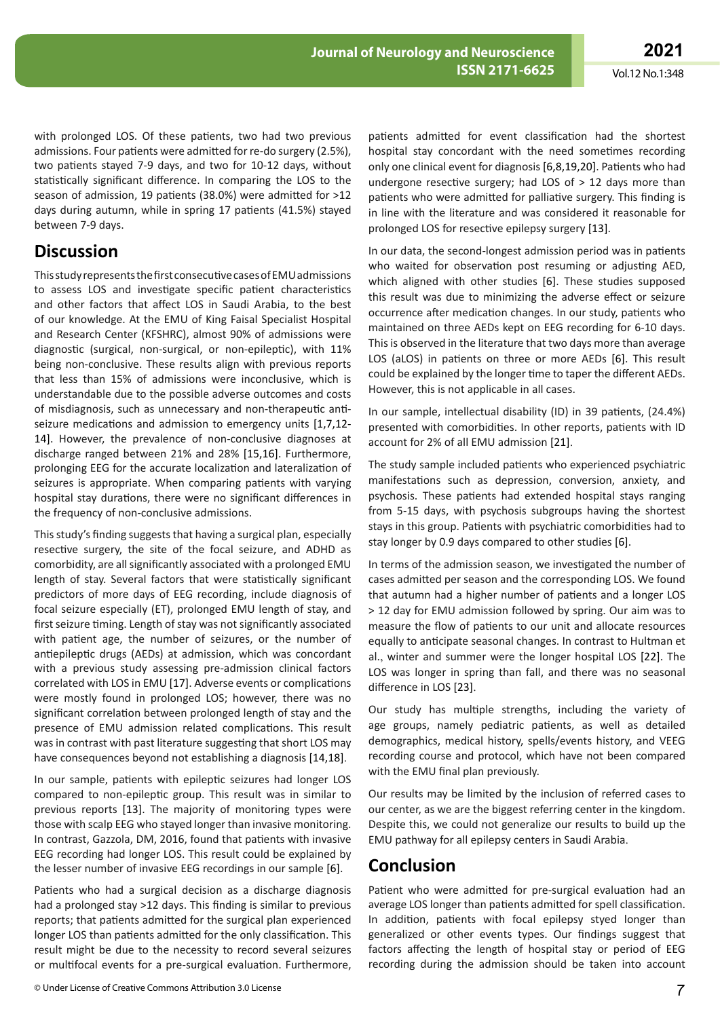with prolonged LOS. Of these patients, two had two previous admissions. Four patients were admitted for re-do surgery (2.5%), two patients stayed 7-9 days, and two for 10-12 days, without statistically significant difference. In comparing the LOS to the season of admission, 19 patients (38.0%) were admitted for >12 days during autumn, while in spring 17 patients (41.5%) stayed between 7-9 days.

## **Discussion**

ThisstudyrepresentsthefirstconsecutivecasesofEMUadmissions to assess LOS and investigate specific patient characteristics and other factors that affect LOS in Saudi Arabia, to the best of our knowledge. At the EMU of King Faisal Specialist Hospital and Research Center (KFSHRC), almost 90% of admissions were diagnostic (surgical, non-surgical, or non-epileptic), with 11% being non-conclusive. These results align with previous reports that less than 15% of admissions were inconclusive, which is understandable due to the possible adverse outcomes and costs of misdiagnosis, such as unnecessary and non-therapeutic antiseizure medications and admission to emergency units [1,7,12- 14]. However, the prevalence of non-conclusive diagnoses at discharge ranged between 21% and 28% [15,16]. Furthermore, prolonging EEG for the accurate localization and lateralization of seizures is appropriate. When comparing patients with varying hospital stay durations, there were no significant differences in the frequency of non-conclusive admissions.

This study's finding suggests that having a surgical plan, especially resective surgery, the site of the focal seizure, and ADHD as comorbidity, are all significantly associated with a prolonged EMU length of stay. Several factors that were statistically significant predictors of more days of EEG recording, include diagnosis of focal seizure especially (ET), prolonged EMU length of stay, and first seizure timing. Length of stay was not significantly associated with patient age, the number of seizures, or the number of antiepileptic drugs (AEDs) at admission, which was concordant with a previous study assessing pre-admission clinical factors correlated with LOS in EMU [17]. Adverse events or complications were mostly found in prolonged LOS; however, there was no significant correlation between prolonged length of stay and the presence of EMU admission related complications. This result was in contrast with past literature suggesting that short LOS may have consequences beyond not establishing a diagnosis [14,18].

In our sample, patients with epileptic seizures had longer LOS compared to non-epileptic group. This result was in similar to previous reports [13]. The majority of monitoring types were those with scalp EEG who stayed longer than invasive monitoring. In contrast, Gazzola, DM, 2016, found that patients with invasive EEG recording had longer LOS. This result could be explained by the lesser number of invasive EEG recordings in our sample [6].

Patients who had a surgical decision as a discharge diagnosis had a prolonged stay >12 days. This finding is similar to previous reports; that patients admitted for the surgical plan experienced longer LOS than patients admitted for the only classification. This result might be due to the necessity to record several seizures or multifocal events for a pre-surgical evaluation. Furthermore,

patients admitted for event classification had the shortest hospital stay concordant with the need sometimes recording only one clinical event for diagnosis [6,8,19,20]. Patients who had undergone resective surgery; had LOS of  $> 12$  days more than patients who were admitted for palliative surgery. This finding is in line with the literature and was considered it reasonable for prolonged LOS for resective epilepsy surgery [13].

In our data, the second-longest admission period was in patients who waited for observation post resuming or adjusting AED, which aligned with other studies [6]. These studies supposed this result was due to minimizing the adverse effect or seizure occurrence after medication changes. In our study, patients who maintained on three AEDs kept on EEG recording for 6-10 days. This is observed in the literature that two days more than average LOS (aLOS) in patients on three or more AEDs [6]. This result could be explained by the longer time to taper the different AEDs. However, this is not applicable in all cases.

In our sample, intellectual disability (ID) in 39 patients, (24.4%) presented with comorbidities. In other reports, patients with ID account for 2% of all EMU admission [21].

The study sample included patients who experienced psychiatric manifestations such as depression, conversion, anxiety, and psychosis. These patients had extended hospital stays ranging from 5-15 days, with psychosis subgroups having the shortest stays in this group. Patients with psychiatric comorbidities had to stay longer by 0.9 days compared to other studies [6].

In terms of the admission season, we investigated the number of cases admitted per season and the corresponding LOS. We found that autumn had a higher number of patients and a longer LOS > 12 day for EMU admission followed by spring. Our aim was to measure the flow of patients to our unit and allocate resources equally to anticipate seasonal changes. In contrast to Hultman et al., winter and summer were the longer hospital LOS [22]. The LOS was longer in spring than fall, and there was no seasonal difference in LOS [23].

Our study has multiple strengths, including the variety of age groups, namely pediatric patients, as well as detailed demographics, medical history, spells/events history, and VEEG recording course and protocol, which have not been compared with the EMU final plan previously.

Our results may be limited by the inclusion of referred cases to our center, as we are the biggest referring center in the kingdom. Despite this, we could not generalize our results to build up the EMU pathway for all epilepsy centers in Saudi Arabia.

# **Conclusion**

Patient who were admitted for pre-surgical evaluation had an average LOS longer than patients admitted for spell classification. In addition, patients with focal epilepsy styed longer than generalized or other events types. Our findings suggest that factors affecting the length of hospital stay or period of EEG recording during the admission should be taken into account